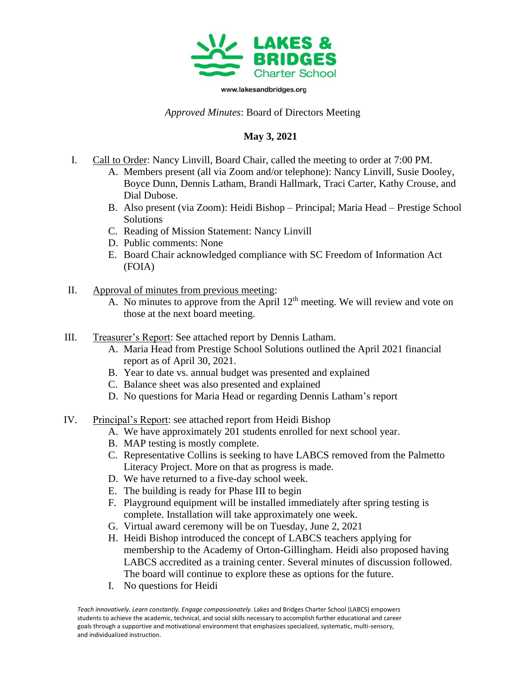

www.lakesandbridges.org

## *Approved Minutes*: Board of Directors Meeting

## **May 3, 2021**

- I. Call to Order: Nancy Linvill, Board Chair, called the meeting to order at 7:00 PM.
	- A. Members present (all via Zoom and/or telephone): Nancy Linvill, Susie Dooley, Boyce Dunn, Dennis Latham, Brandi Hallmark, Traci Carter, Kathy Crouse, and Dial Dubose.
	- B. Also present (via Zoom): Heidi Bishop Principal; Maria Head Prestige School Solutions
	- C. Reading of Mission Statement: Nancy Linvill
	- D. Public comments: None
	- E. Board Chair acknowledged compliance with SC Freedom of Information Act (FOIA)
- II. Approval of minutes from previous meeting:
	- A. No minutes to approve from the April  $12<sup>th</sup>$  meeting. We will review and vote on those at the next board meeting.
- III. Treasurer's Report: See attached report by Dennis Latham.
	- A. Maria Head from Prestige School Solutions outlined the April 2021 financial report as of April 30, 2021.
	- B. Year to date vs. annual budget was presented and explained
	- C. Balance sheet was also presented and explained
	- D. No questions for Maria Head or regarding Dennis Latham's report
- IV. Principal's Report: see attached report from Heidi Bishop
	- A. We have approximately 201 students enrolled for next school year.
	- B. MAP testing is mostly complete.
	- C. Representative Collins is seeking to have LABCS removed from the Palmetto Literacy Project. More on that as progress is made.
	- D. We have returned to a five-day school week.
	- E. The building is ready for Phase III to begin
	- F. Playground equipment will be installed immediately after spring testing is complete. Installation will take approximately one week.
	- G. Virtual award ceremony will be on Tuesday, June 2, 2021
	- H. Heidi Bishop introduced the concept of LABCS teachers applying for membership to the Academy of Orton-Gillingham. Heidi also proposed having LABCS accredited as a training center. Several minutes of discussion followed. The board will continue to explore these as options for the future.
	- I. No questions for Heidi

Teach innovatively. Learn constantly. Engage compassionately. Lakes and Bridges Charter School (LABCS) empowers students to achieve the academic, technical, and social skills necessary to accomplish further educational and career goals through a supportive and motivational environment that emphasizes specialized, systematic, multi-sensory, and individualized instruction.